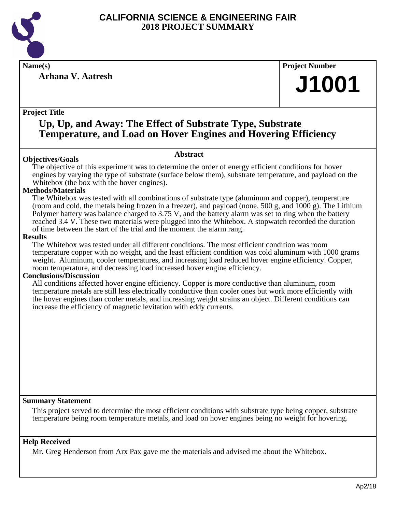

**Arhana V. Aatresh**

**Name(s) Project Number**

## **J1001**

#### **Project Title**

## **Up, Up, and Away: The Effect of Substrate Type, Substrate Temperature, and Load on Hover Engines and Hovering Efficiency**

#### **Abstract**

The objective of this experiment was to determine the order of energy efficient conditions for hover engines by varying the type of substrate (surface below them), substrate temperature, and payload on the Whitebox (the box with the hover engines).

#### **Methods/Materials**

**Objectives/Goals**

The Whitebox was tested with all combinations of substrate type (aluminum and copper), temperature (room and cold, the metals being frozen in a freezer), and payload (none, 500 g, and 1000 g). The Lithium Polymer battery was balance charged to 3.75 V, and the battery alarm was set to ring when the battery reached 3.4 V. These two materials were plugged into the Whitebox. A stopwatch recorded the duration of time between the start of the trial and the moment the alarm rang.

#### **Results**

The Whitebox was tested under all different conditions. The most efficient condition was room temperature copper with no weight, and the least efficient condition was cold aluminum with 1000 grams weight. Aluminum, cooler temperatures, and increasing load reduced hover engine efficiency. Copper, room temperature, and decreasing load increased hover engine efficiency.

#### **Conclusions/Discussion**

All conditions affected hover engine efficiency. Copper is more conductive than aluminum, room temperature metals are still less electrically conductive than cooler ones but work more efficiently with the hover engines than cooler metals, and increasing weight strains an object. Different conditions can increase the efficiency of magnetic levitation with eddy currents.

#### **Summary Statement**

This project served to determine the most efficient conditions with substrate type being copper, substrate temperature being room temperature metals, and load on hover engines being no weight for hovering.

#### **Help Received**

Mr. Greg Henderson from Arx Pax gave me the materials and advised me about the Whitebox.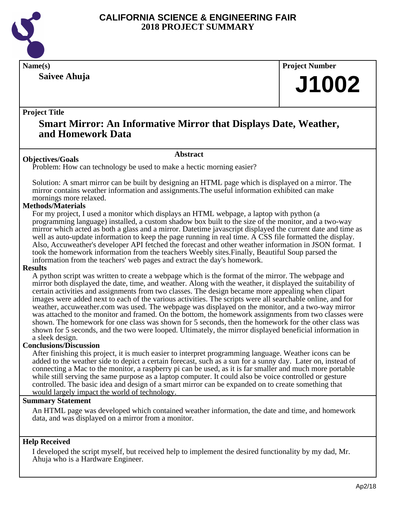

**Saivee Ahuja**

**Name(s) Project Number**

## **J1002**

#### **Project Title**

### **Smart Mirror: An Informative Mirror that Displays Date, Weather, and Homework Data**

#### **Abstract**

Problem: How can technology be used to make a hectic morning easier?

Solution: A smart mirror can be built by designing an HTML page which is displayed on a mirror. The mirror contains weather information and assignments.The useful information exhibited can make mornings more relaxed.

#### **Methods/Materials**

**Objectives/Goals**

For my project, I used a monitor which displays an HTML webpage, a laptop with python (a programming language) installed, a custom shadow box built to the size of the monitor, and a two-way mirror which acted as both a glass and a mirror. Datetime javascript displayed the current date and time as well as auto-update information to keep the page running in real time. A CSS file formatted the display. Also, Accuweather's developer API fetched the forecast and other weather information in JSON format. I took the homework information from the teachers Weebly sites.Finally, Beautiful Soup parsed the information from the teachers' web pages and extract the day's homework.

#### **Results**

A python script was written to create a webpage which is the format of the mirror. The webpage and mirror both displayed the date, time, and weather. Along with the weather, it displayed the suitability of certain activities and assignments from two classes. The design became more appealing when clipart images were added next to each of the various activities. The scripts were all searchable online, and for weather, accuweather.com was used. The webpage was displayed on the monitor, and a two-way mirror was attached to the monitor and framed. On the bottom, the homework assignments from two classes were shown. The homework for one class was shown for 5 seconds, then the homework for the other class was shown for 5 seconds, and the two were looped. Ultimately, the mirror displayed beneficial information in a sleek design.

#### **Conclusions/Discussion**

After finishing this project, it is much easier to interpret programming language. Weather icons can be added to the weather side to depict a certain forecast, such as a sun for a sunny day. Later on, instead of connecting a Mac to the monitor, a raspberry pi can be used, as it is far smaller and much more portable while still serving the same purpose as a laptop computer. It could also be voice controlled or gesture controlled. The basic idea and design of a smart mirror can be expanded on to create something that would largely impact the world of technology.

#### **Summary Statement**

An HTML page was developed which contained weather information, the date and time, and homework data, and was displayed on a mirror from a monitor.

#### **Help Received**

I developed the script myself, but received help to implement the desired functionality by my dad, Mr. Ahuja who is a Hardware Engineer.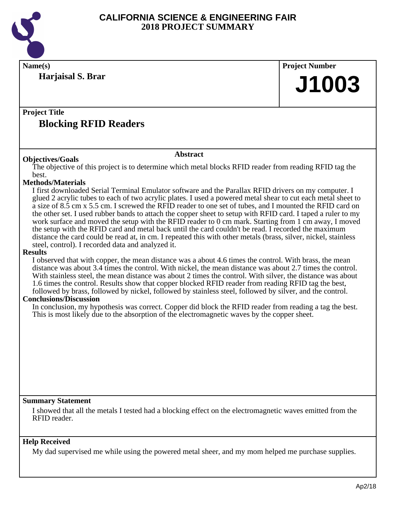

**Name(s) Project Number Project Title Abstract Summary Statement Help Received Harjaisal S. Brar Blocking RFID Readers J1003 Objectives/Goals** The objective of this project is to determine which metal blocks RFID reader from reading RFID tag the best. **Methods/Materials** I first downloaded Serial Terminal Emulator software and the Parallax RFID drivers on my computer. I glued 2 acrylic tubes to each of two acrylic plates. I used a powered metal shear to cut each metal sheet to a size of 8.5 cm x 5.5 cm. I screwed the RFID reader to one set of tubes, and I mounted the RFID card on the other set. I used rubber bands to attach the copper sheet to setup with RFID card. I taped a ruler to my work surface and moved the setup with the RFID reader to 0 cm mark. Starting from 1 cm away, I moved the setup with the RFID card and metal back until the card couldn't be read. I recorded the maximum distance the card could be read at, in cm. I repeated this with other metals (brass, silver, nickel, stainless steel, control). I recorded data and analyzed it. **Results** I observed that with copper, the mean distance was a about 4.6 times the control. With brass, the mean distance was about 3.4 times the control. With nickel, the mean distance was about 2.7 times the control. With stainless steel, the mean distance was about 2 times the control. With silver, the distance was about 1.6 times the control. Results show that copper blocked RFID reader from reading RFID tag the best, followed by brass, followed by nickel, followed by stainless steel, followed by silver, and the control. **Conclusions/Discussion** In conclusion, my hypothesis was correct. Copper did block the RFID reader from reading a tag the best. This is most likely due to the absorption of the electromagnetic waves by the copper sheet. I showed that all the metals I tested had a blocking effect on the electromagnetic waves emitted from the RFID reader.

My dad supervised me while using the powered metal sheer, and my mom helped me purchase supplies.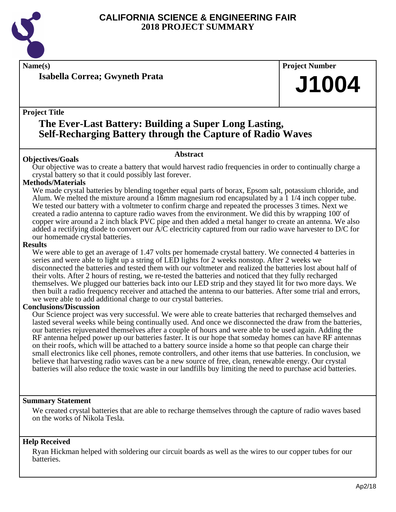

**Isabella Correa; Gwyneth Prata**

## **Name(s) Project Number J1004**

#### **Project Title**

## **The Ever-Last Battery: Building a Super Long Lasting, Self-Recharging Battery through the Capture of Radio Waves**

#### **Abstract**

**Objectives/Goals** Our objective was to create a battery that would harvest radio frequencies in order to continually charge a crystal battery so that it could possibly last forever.

#### **Methods/Materials**

We made crystal batteries by blending together equal parts of borax, Epsom salt, potassium chloride, and Alum. We melted the mixture around a 16mm magnesium rod encapsulated by a 1 1/4 inch copper tube. We tested our battery with a voltmeter to confirm charge and repeated the processes 3 times. Next we created a radio antenna to capture radio waves from the environment. We did this by wrapping 100' of copper wire around a 2 inch black PVC pipe and then added a metal hanger to create an antenna. We also added a rectifying diode to convert our A/C electricity captured from our radio wave harvester to D/C for our homemade crystal batteries.

#### **Results**

We were able to get an average of 1.47 volts per homemade crystal battery. We connected 4 batteries in series and were able to light up a string of LED lights for 2 weeks nonstop. After 2 weeks we disconnected the batteries and tested them with our voltmeter and realized the batteries lost about half of their volts. After 2 hours of resting, we re-tested the batteries and noticed that they fully recharged themselves. We plugged our batteries back into our LED strip and they stayed lit for two more days. We then built a radio frequency receiver and attached the antenna to our batteries. After some trial and errors, we were able to add additional charge to our crystal batteries.

#### **Conclusions/Discussion**

Our Science project was very successful. We were able to create batteries that recharged themselves and lasted several weeks while being continually used. And once we disconnected the draw from the batteries, our batteries rejuvenated themselves after a couple of hours and were able to be used again. Adding the RF antenna helped power up our batteries faster. It is our hope that someday homes can have RF antennas on their roofs, which will be attached to a battery source inside a home so that people can charge their small electronics like cell phones, remote controllers, and other items that use batteries. In conclusion, we believe that harvesting radio waves can be a new source of free, clean, renewable energy. Our crystal batteries will also reduce the toxic waste in our landfills buy limiting the need to purchase acid batteries.

#### **Summary Statement**

We created crystal batteries that are able to recharge themselves through the capture of radio waves based on the works of Nikola Tesla.

#### **Help Received**

Ryan Hickman helped with soldering our circuit boards as well as the wires to our copper tubes for our batteries.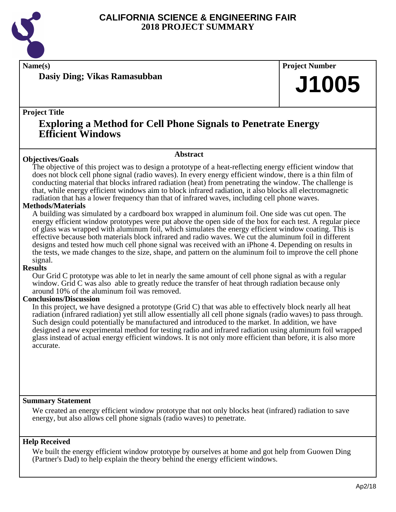

**Name(s) Project Number**

**Dasiy Ding; Vikas Ramasubban**

## **J1005**

#### **Project Title**

### **Exploring a Method for Cell Phone Signals to Penetrate Energy Efficient Windows**

#### **Abstract**

**Objectives/Goals** The objective of this project was to design a prototype of a heat-reflecting energy efficient window that does not block cell phone signal (radio waves). In every energy efficient window, there is a thin film of conducting material that blocks infrared radiation (heat) from penetrating the window. The challenge is that, while energy efficient windows aim to block infrared radiation, it also blocks all electromagnetic radiation that has a lower frequency than that of infrared waves, including cell phone waves.

#### **Methods/Materials**

A building was simulated by a cardboard box wrapped in aluminum foil. One side was cut open. The energy efficient window prototypes were put above the open side of the box for each test. A regular piece of glass was wrapped with aluminum foil, which simulates the energy efficient window coating. This is effective because both materials block infrared and radio waves. We cut the aluminum foil in different designs and tested how much cell phone signal was received with an iPhone 4. Depending on results in the tests, we made changes to the size, shape, and pattern on the aluminum foil to improve the cell phone signal.

#### **Results**

Our Grid C prototype was able to let in nearly the same amount of cell phone signal as with a regular window. Grid C was also able to greatly reduce the transfer of heat through radiation because only around 10% of the aluminum foil was removed.

#### **Conclusions/Discussion**

In this project, we have designed a prototype (Grid C) that was able to effectively block nearly all heat radiation (infrared radiation) yet still allow essentially all cell phone signals (radio waves) to pass through. Such design could potentially be manufactured and introduced to the market. In addition, we have designed a new experimental method for testing radio and infrared radiation using aluminum foil wrapped glass instead of actual energy efficient windows. It is not only more efficient than before, it is also more accurate.

#### **Summary Statement**

We created an energy efficient window prototype that not only blocks heat (infrared) radiation to save energy, but also allows cell phone signals (radio waves) to penetrate.

#### **Help Received**

We built the energy efficient window prototype by ourselves at home and got help from Guowen Ding (Partner's Dad) to help explain the theory behind the energy efficient windows.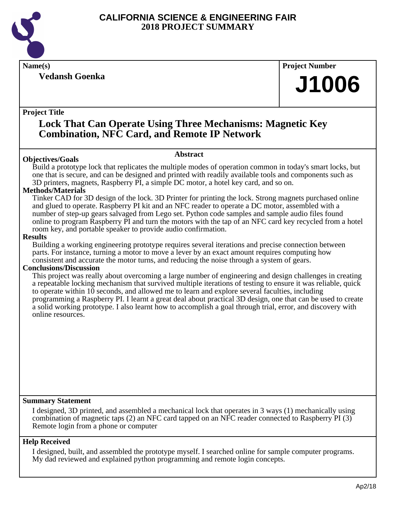

**Vedansh Goenka**

**Name(s) Project Number**

## **J1006**

#### **Project Title**

### **Lock That Can Operate Using Three Mechanisms: Magnetic Key Combination, NFC Card, and Remote IP Network**

#### **Abstract**

Build a prototype lock that replicates the multiple modes of operation common in today's smart locks, but one that is secure, and can be designed and printed with readily available tools and components such as 3D printers, magnets, Raspberry PI, a simple DC motor, a hotel key card, and so on.

#### **Methods/Materials**

**Objectives/Goals**

Tinker CAD for 3D design of the lock. 3D Printer for printing the lock. Strong magnets purchased online and glued to operate. Raspberry PI kit and an NFC reader to operate a DC motor, assembled with a number of step-up gears salvaged from Lego set. Python code samples and sample audio files found online to program Raspberry PI and turn the motors with the tap of an NFC card key recycled from a hotel room key, and portable speaker to provide audio confirmation.

#### **Results**

Building a working engineering prototype requires several iterations and precise connection between parts. For instance, turning a motor to move a lever by an exact amount requires computing how consistent and accurate the motor turns, and reducing the noise through a system of gears.

#### **Conclusions/Discussion**

This project was really about overcoming a large number of engineering and design challenges in creating a repeatable locking mechanism that survived multiple iterations of testing to ensure it was reliable, quick to operate within 10 seconds, and allowed me to learn and explore several faculties, including programming a Raspberry PI. I learnt a great deal about practical 3D design, one that can be used to create a solid working prototype. I also learnt how to accomplish a goal through trial, error, and discovery with online resources.

#### **Summary Statement**

I designed, 3D printed, and assembled a mechanical lock that operates in 3 ways (1) mechanically using combination of magnetic taps (2) an NFC card tapped on an NFC reader connected to Raspberry PI (3) Remote login from a phone or computer

#### **Help Received**

I designed, built, and assembled the prototype myself. I searched online for sample computer programs. My dad reviewed and explained python programming and remote login concepts.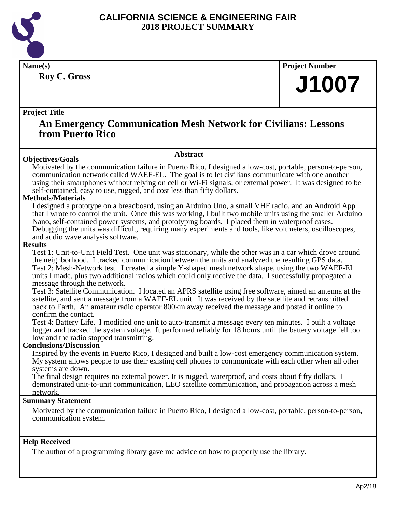

**Roy C. Gross**

**Name(s) Project Number**

## **J1007**

#### **Project Title**

### **An Emergency Communication Mesh Network for Civilians: Lessons from Puerto Rico**

#### **Abstract**

Motivated by the communication failure in Puerto Rico, I designed a low-cost, portable, person-to-person, communication network called WAEF-EL. The goal is to let civilians communicate with one another using their smartphones without relying on cell or Wi-Fi signals, or external power. It was designed to be self-contained, easy to use, rugged, and cost less than fifty dollars.

#### **Methods/Materials**

**Objectives/Goals**

I designed a prototype on a breadboard, using an Arduino Uno, a small VHF radio, and an Android App that I wrote to control the unit. Once this was working, I built two mobile units using the smaller Arduino Nano, self-contained power systems, and prototyping boards. I placed them in waterproof cases. Debugging the units was difficult, requiring many experiments and tools, like voltmeters, oscilloscopes, and audio wave analysis software.

#### **Results**

Test 1: Unit-to-Unit Field Test. One unit was stationary, while the other was in a car which drove around the neighborhood. I tracked communication between the units and analyzed the resulting GPS data. Test 2: Mesh-Network test. I created a simple Y-shaped mesh network shape, using the two WAEF-EL units I made, plus two additional radios which could only receive the data. I successfully propagated a message through the network.

Test 3: Satellite Communication. I located an APRS satellite using free software, aimed an antenna at the satellite, and sent a message from a WAEF-EL unit. It was received by the satellite and retransmitted back to Earth. An amateur radio operator 800km away received the message and posted it online to confirm the contact.

Test 4: Battery Life. I modified one unit to auto-transmit a message every ten minutes. I built a voltage logger and tracked the system voltage. It performed reliably for 18 hours until the battery voltage fell too low and the radio stopped transmitting.

#### **Conclusions/Discussion**

Inspired by the events in Puerto Rico, I designed and built a low-cost emergency communication system. My system allows people to use their existing cell phones to communicate with each other when all other systems are down.

The final design requires no external power. It is rugged, waterproof, and costs about fifty dollars. I demonstrated unit-to-unit communication, LEO satellite communication, and propagation across a mesh network.

#### **Summary Statement**

Motivated by the communication failure in Puerto Rico, I designed a low-cost, portable, person-to-person, communication system.

#### **Help Received**

The author of a programming library gave me advice on how to properly use the library.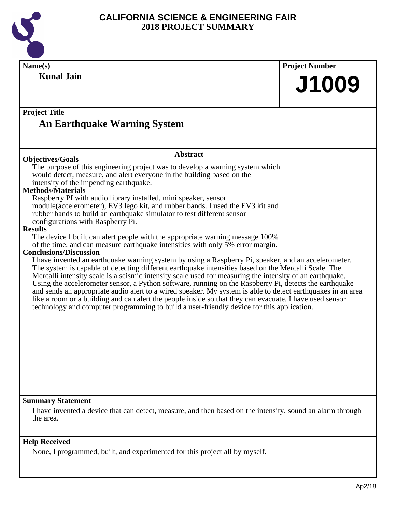

| <b>Project Title</b><br><b>An Earthquake Warning System</b><br><b>Abstract</b><br><b>Objectives/Goals</b><br>The purpose of this engineering project was to develop a warning system which<br>would detect, measure, and alert everyone in the building based on the<br>intensity of the impending earthquake.<br>Raspberry PI with audio library installed, mini speaker, sensor<br>module(accelerometer), EV3 lego kit, and rubber bands. I used the EV3 kit and<br>rubber bands to build an earthquake simulator to test different sensor<br>configurations with Raspberry Pi.<br>The device I built can alert people with the appropriate warning message 100%<br>of the time, and can measure earthquake intensities with only 5% error margin.<br>I have invented an earthquake warning system by using a Raspberry Pi, speaker, and an accelerometer.<br>The system is capable of detecting different earthquake intensities based on the Mercalli Scale. The<br>Mercalli intensity scale is a seismic intensity scale used for measuring the intensity of an earthquake.<br>Using the accelerometer sensor, a Python software, running on the Raspberry Pi, detects the earthquake<br>and sends an appropriate audio alert to a wired speaker. My system is able to detect earthquakes in an area<br>like a room or a building and can alert the people inside so that they can evacuate. I have used sensor<br>technology and computer programming to build a user-friendly device for this application. | Name(s)<br><b>Kunal Jain</b>                                                | <b>Project Number</b><br>J1009 |
|-------------------------------------------------------------------------------------------------------------------------------------------------------------------------------------------------------------------------------------------------------------------------------------------------------------------------------------------------------------------------------------------------------------------------------------------------------------------------------------------------------------------------------------------------------------------------------------------------------------------------------------------------------------------------------------------------------------------------------------------------------------------------------------------------------------------------------------------------------------------------------------------------------------------------------------------------------------------------------------------------------------------------------------------------------------------------------------------------------------------------------------------------------------------------------------------------------------------------------------------------------------------------------------------------------------------------------------------------------------------------------------------------------------------------------------------------------------------------------------------------------------------|-----------------------------------------------------------------------------|--------------------------------|
|                                                                                                                                                                                                                                                                                                                                                                                                                                                                                                                                                                                                                                                                                                                                                                                                                                                                                                                                                                                                                                                                                                                                                                                                                                                                                                                                                                                                                                                                                                                   |                                                                             |                                |
|                                                                                                                                                                                                                                                                                                                                                                                                                                                                                                                                                                                                                                                                                                                                                                                                                                                                                                                                                                                                                                                                                                                                                                                                                                                                                                                                                                                                                                                                                                                   |                                                                             |                                |
|                                                                                                                                                                                                                                                                                                                                                                                                                                                                                                                                                                                                                                                                                                                                                                                                                                                                                                                                                                                                                                                                                                                                                                                                                                                                                                                                                                                                                                                                                                                   | <b>Methods/Materials</b><br><b>Results</b><br><b>Conclusions/Discussion</b> |                                |
| I have invented a device that can detect, measure, and then based on the intensity, sound an alarm through                                                                                                                                                                                                                                                                                                                                                                                                                                                                                                                                                                                                                                                                                                                                                                                                                                                                                                                                                                                                                                                                                                                                                                                                                                                                                                                                                                                                        | <b>Summary Statement</b>                                                    |                                |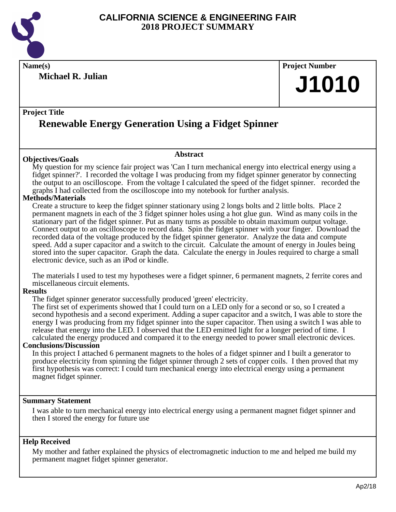

**Michael R. Julian**

**Name(s) Project Number J1010**

#### **Project Title**

## **Renewable Energy Generation Using a Fidget Spinner**

#### **Objectives/Goals**

My question for my science fair project was 'Can I turn mechanical energy into electrical energy using a fidget spinner?'. I recorded the voltage I was producing from my fidget spinner generator by connecting the output to an oscilloscope. From the voltage I calculated the speed of the fidget spinner. recorded the graphs I had collected from the oscilloscope into my notebook for further analysis.

**Abstract**

#### **Methods/Materials**

Create a structure to keep the fidget spinner stationary using 2 longs bolts and 2 little bolts. Place 2 permanent magnets in each of the 3 fidget spinner holes using a hot glue gun. Wind as many coils in the stationary part of the fidget spinner. Put as many turns as possible to obtain maximum output voltage. Connect output to an oscilloscope to record data. Spin the fidget spinner with your finger. Download the recorded data of the voltage produced by the fidget spinner generator. Analyze the data and compute speed. Add a super capacitor and a switch to the circuit. Calculate the amount of energy in Joules being stored into the super capacitor. Graph the data. Calculate the energy in Joules required to charge a small electronic device, such as an iPod or kindle.

The materials I used to test my hypotheses were a fidget spinner, 6 permanent magnets, 2 ferrite cores and miscellaneous circuit elements.

#### **Results**

The fidget spinner generator successfully produced 'green' electricity.

The first set of experiments showed that I could turn on a LED only for a second or so, so I created a second hypothesis and a second experiment. Adding a super capacitor and a switch, I was able to store the energy I was producing from my fidget spinner into the super capacitor. Then using a switch I was able to release that energy into the LED. I observed that the LED emitted light for a longer period of time. I calculated the energy produced and compared it to the energy needed to power small electronic devices.

#### **Conclusions/Discussion**

In this project I attached 6 permanent magnets to the holes of a fidget spinner and I built a generator to produce electricity from spinning the fidget spinner through 2 sets of copper coils. I then proved that my first hypothesis was correct: I could turn mechanical energy into electrical energy using a permanent magnet fidget spinner.

#### **Summary Statement**

I was able to turn mechanical energy into electrical energy using a permanent magnet fidget spinner and then I stored the energy for future use

#### **Help Received**

My mother and father explained the physics of electromagnetic induction to me and helped me build my permanent magnet fidget spinner generator.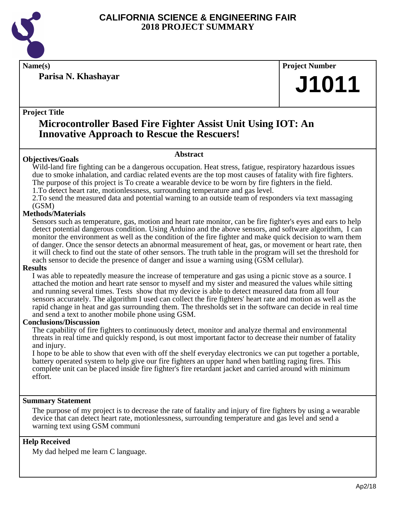

**Parisa N. Khashayar**

**Name(s) Project Number**

## **J1011**

#### **Project Title**

### **Microcontroller Based Fire Fighter Assist Unit Using IOT: An Innovative Approach to Rescue the Rescuers!**

#### **Objectives/Goals**

**Abstract**

Wild-land fire fighting can be a dangerous occupation. Heat stress, fatigue, respiratory hazardous issues due to smoke inhalation, and cardiac related events are the top most causes of fatality with fire fighters. The purpose of this project is To create a wearable device to be worn by fire fighters in the field.

1. To detect heart rate, motionlessness, surrounding temperature and gas level.

2. To send the measured data and potential warning to an outside team of responders via text massaging (GSM)

#### **Methods/Materials**

Sensors such as temperature, gas, motion and heart rate monitor, can be fire fighter's eyes and ears to help detect potential dangerous condition. Using Arduino and the above sensors, and software algorithm, I can monitor the environment as well as the condition of the fire fighter and make quick decision to warn them of danger. Once the sensor detects an abnormal measurement of heat, gas, or movement or heart rate, then it will check to find out the state of other sensors. The truth table in the program will set the threshold for each sensor to decide the presence of danger and issue a warning using (GSM cellular).

#### **Results**

I was able to repeatedly measure the increase of temperature and gas using a picnic stove as a source. I attached the motion and heart rate sensor to myself and my sister and measured the values while sitting and running several times. Tests show that my device is able to detect measured data from all four sensors accurately. The algorithm I used can collect the fire fighters' heart rate and motion as well as the rapid change in heat and gas surrounding them. The thresholds set in the software can decide in real time and send a text to another mobile phone using GSM.

#### **Conclusions/Discussion**

The capability of fire fighters to continuously detect, monitor and analyze thermal and environmental threats in real time and quickly respond, is out most important factor to decrease their number of fatality and injury.

I hope to be able to show that even with off the shelf everyday electronics we can put together a portable, battery operated system to help give our fire fighters an upper hand when battling raging fires. This complete unit can be placed inside fire fighter's fire retardant jacket and carried around with minimum effort.

#### **Summary Statement**

The purpose of my project is to decrease the rate of fatality and injury of fire fighters by using a wearable device that can detect heart rate, motionlessness, surrounding temperature and gas level and send a warning text using GSM communi

#### **Help Received**

My dad helped me learn C language.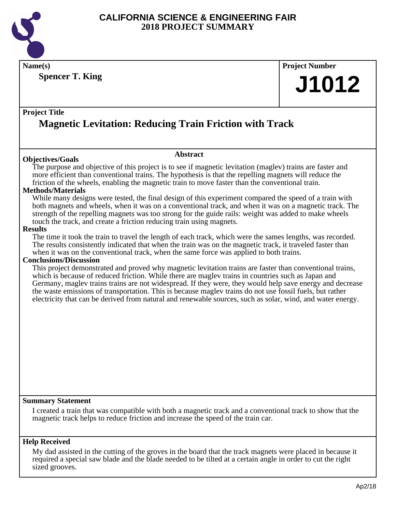

**Name(s) Project Number**

**Spencer T. King**

# **J1012**

#### **Project Title**

## **Magnetic Levitation: Reducing Train Friction with Track**

#### **Objectives/Goals**

#### **Abstract**

The purpose and objective of this project is to see if magnetic levitation (maglev) trains are faster and more efficient than conventional trains. The hypothesis is that the repelling magnets will reduce the friction of the wheels, enabling the magnetic train to move faster than the conventional train.

#### **Methods/Materials**

While many designs were tested, the final design of this experiment compared the speed of a train with both magnets and wheels, when it was on a conventional track, and when it was on a magnetic track. The strength of the repelling magnets was too strong for the guide rails: weight was added to make wheels touch the track, and create a friction reducing train using magnets.

#### **Results**

The time it took the train to travel the length of each track, which were the sames lengths, was recorded. The results consistently indicated that when the train was on the magnetic track, it traveled faster than when it was on the conventional track, when the same force was applied to both trains.

#### **Conclusions/Discussion**

This project demonstrated and proved why magnetic levitation trains are faster than conventional trains, which is because of reduced friction. While there are maglev trains in countries such as Japan and Germany, maglev trains trains are not widespread. If they were, they would help save energy and decrease the waste emissions of transportation. This is because maglev trains do not use fossil fuels, but rather electricity that can be derived from natural and renewable sources, such as solar, wind, and water energy.

#### **Summary Statement**

I created a train that was compatible with both a magnetic track and a conventional track to show that the magnetic track helps to reduce friction and increase the speed of the train car.

#### **Help Received**

My dad assisted in the cutting of the groves in the board that the track magnets were placed in because it required a special saw blade and the blade needed to be tilted at a certain angle in order to cut the right sized grooves.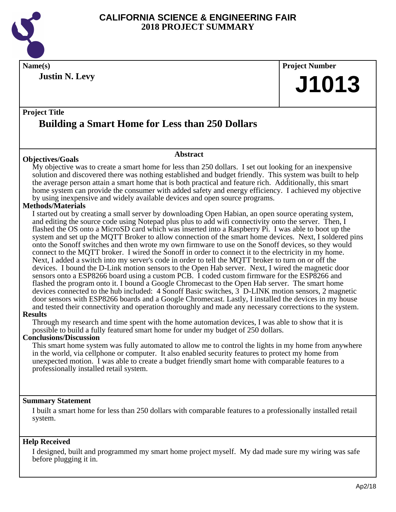

**Justin N. Levy**

## **Name(s) Project Number J1013**

#### **Project Title Building a Smart Home for Less than 250 Dollars**

#### **Objectives/Goals**

My objective was to create a smart home for less than 250 dollars. I set out looking for an inexpensive solution and discovered there was nothing established and budget friendly. This system was built to help the average person attain a smart home that is both practical and feature rich. Additionally, this smart home system can provide the consumer with added safety and energy efficiency. I achieved my objective by using inexpensive and widely available devices and open source programs.

**Abstract**

#### **Methods/Materials**

I started out by creating a small server by downloading Open Habian, an open source operating system, and editing the source code using Notepad plus plus to add wifi connectivity onto the server. Then, I flashed the OS onto a MicroSD card which was inserted into a Raspberry Pi. I was able to boot up the system and set up the MQTT Broker to allow connection of the smart home devices. Next, I soldered pins onto the Sonoff switches and then wrote my own firmware to use on the Sonoff devices, so they would connect to the MQTT broker. I wired the Sonoff in order to connect it to the electricity in my home. Next, I added a switch into my server's code in order to tell the MQTT broker to turn on or off the devices. I bound the D-Link motion sensors to the Open Hab server. Next, I wired the magnetic door sensors onto a ESP8266 board using a custom PCB. I coded custom firmware for the ESP8266 and flashed the program onto it. I bound a Google Chromecast to the Open Hab server. The smart home devices connected to the hub included: 4 Sonoff Basic switches, 3 D-LINK motion sensors, 2 magnetic door sensors with ESP8266 boards and a Google Chromecast. Lastly, I installed the devices in my house and tested their connectivity and operation thoroughly and made any necessary corrections to the system.

#### **Results**

Through my research and time spent with the home automation devices, I was able to show that it is possible to build a fully featured smart home for under my budget of 250 dollars.

#### **Conclusions/Discussion**

This smart home system was fully automated to allow me to control the lights in my home from anywhere in the world, via cellphone or computer. It also enabled security features to protect my home from unexpected motion. I was able to create a budget friendly smart home with comparable features to a professionally installed retail system.

#### **Summary Statement**

I built a smart home for less than 250 dollars with comparable features to a professionally installed retail system.

#### **Help Received**

I designed, built and programmed my smart home project myself. My dad made sure my wiring was safe before plugging it in.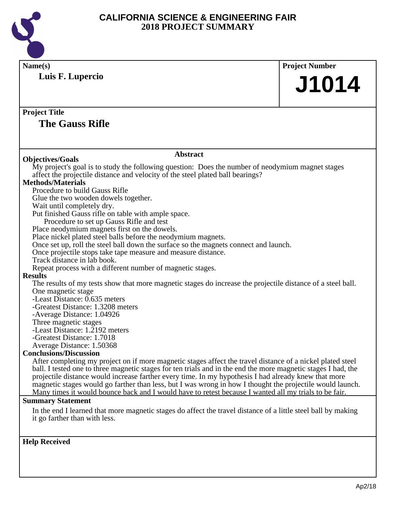

| Name(s)                                                                                                                                                                                                                     | <b>Project Number</b>                                                                                         |  |  |  |
|-----------------------------------------------------------------------------------------------------------------------------------------------------------------------------------------------------------------------------|---------------------------------------------------------------------------------------------------------------|--|--|--|
| Luis F. Lupercio                                                                                                                                                                                                            |                                                                                                               |  |  |  |
|                                                                                                                                                                                                                             | J1014                                                                                                         |  |  |  |
|                                                                                                                                                                                                                             |                                                                                                               |  |  |  |
| <b>Project Title</b>                                                                                                                                                                                                        |                                                                                                               |  |  |  |
| <b>The Gauss Rifle</b>                                                                                                                                                                                                      |                                                                                                               |  |  |  |
|                                                                                                                                                                                                                             |                                                                                                               |  |  |  |
| <b>Abstract</b>                                                                                                                                                                                                             |                                                                                                               |  |  |  |
| <b>Objectives/Goals</b>                                                                                                                                                                                                     |                                                                                                               |  |  |  |
| My project's goal is to study the following question: Does the number of neodymium magnet stages                                                                                                                            |                                                                                                               |  |  |  |
| affect the projectile distance and velocity of the steel plated ball bearings?                                                                                                                                              |                                                                                                               |  |  |  |
| <b>Methods/Materials</b>                                                                                                                                                                                                    |                                                                                                               |  |  |  |
| Procedure to build Gauss Rifle                                                                                                                                                                                              |                                                                                                               |  |  |  |
| Glue the two wooden dowels together.                                                                                                                                                                                        |                                                                                                               |  |  |  |
| Wait until completely dry.                                                                                                                                                                                                  |                                                                                                               |  |  |  |
| Put finished Gauss rifle on table with ample space.                                                                                                                                                                         |                                                                                                               |  |  |  |
| Procedure to set up Gauss Rifle and test                                                                                                                                                                                    |                                                                                                               |  |  |  |
| Place neodymium magnets first on the dowels.<br>Place nickel plated steel balls before the neodymium magnets.                                                                                                               |                                                                                                               |  |  |  |
| Once set up, roll the steel ball down the surface so the magnets connect and launch.                                                                                                                                        |                                                                                                               |  |  |  |
| Once projectile stops take tape measure and measure distance.                                                                                                                                                               |                                                                                                               |  |  |  |
| Track distance in lab book.                                                                                                                                                                                                 |                                                                                                               |  |  |  |
| Repeat process with a different number of magnetic stages.                                                                                                                                                                  |                                                                                                               |  |  |  |
| <b>Results</b>                                                                                                                                                                                                              |                                                                                                               |  |  |  |
| The results of my tests show that more magnetic stages do increase the projectile distance of a steel ball.                                                                                                                 |                                                                                                               |  |  |  |
| One magnetic stage                                                                                                                                                                                                          |                                                                                                               |  |  |  |
| -Least Distance: 0.635 meters                                                                                                                                                                                               |                                                                                                               |  |  |  |
| -Greatest Distance: 1.3208 meters                                                                                                                                                                                           |                                                                                                               |  |  |  |
| -Average Distance: 1.04926                                                                                                                                                                                                  |                                                                                                               |  |  |  |
| Three magnetic stages                                                                                                                                                                                                       |                                                                                                               |  |  |  |
| -Least Distance: 1.2192 meters                                                                                                                                                                                              |                                                                                                               |  |  |  |
| -Greatest Distance: 1.7018                                                                                                                                                                                                  |                                                                                                               |  |  |  |
| Average Distance: 1.50368                                                                                                                                                                                                   |                                                                                                               |  |  |  |
| <b>Conclusions/Discussion</b>                                                                                                                                                                                               |                                                                                                               |  |  |  |
| After completing my project on if more magnetic stages affect the travel distance of a nickel plated steel<br>ball. I tested one to three magnetic stages for ten trials and in the end the more magnetic stages I had, the |                                                                                                               |  |  |  |
| projectile distance would increase farther every time. In my hypothesis I had already knew that more                                                                                                                        |                                                                                                               |  |  |  |
|                                                                                                                                                                                                                             | magnetic stages would go farther than less, but I was wrong in how I thought the projectile would launch.     |  |  |  |
| Many times it would bounce back and I would have to retest because I wanted all my trials to be fair.                                                                                                                       |                                                                                                               |  |  |  |
| <b>Summary Statement</b>                                                                                                                                                                                                    |                                                                                                               |  |  |  |
|                                                                                                                                                                                                                             | In the end I learned that more magnetic stages do affect the travel distance of a little steel ball by making |  |  |  |
| it go farther than with less.                                                                                                                                                                                               |                                                                                                               |  |  |  |
|                                                                                                                                                                                                                             |                                                                                                               |  |  |  |
|                                                                                                                                                                                                                             |                                                                                                               |  |  |  |
| <b>Help Received</b>                                                                                                                                                                                                        |                                                                                                               |  |  |  |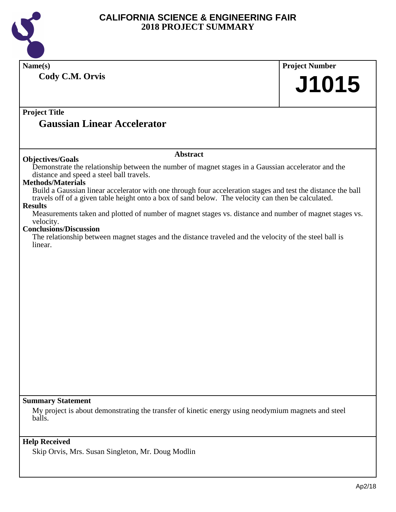

| Name(s)                                                                                                                                                                                                            | <b>Project Number</b> |  |  |  |
|--------------------------------------------------------------------------------------------------------------------------------------------------------------------------------------------------------------------|-----------------------|--|--|--|
| Cody C.M. Orvis                                                                                                                                                                                                    |                       |  |  |  |
|                                                                                                                                                                                                                    | J1015                 |  |  |  |
|                                                                                                                                                                                                                    |                       |  |  |  |
| <b>Project Title</b>                                                                                                                                                                                               |                       |  |  |  |
| <b>Gaussian Linear Accelerator</b>                                                                                                                                                                                 |                       |  |  |  |
|                                                                                                                                                                                                                    |                       |  |  |  |
| <b>Abstract</b>                                                                                                                                                                                                    |                       |  |  |  |
| <b>Objectives/Goals</b>                                                                                                                                                                                            |                       |  |  |  |
| Demonstrate the relationship between the number of magnet stages in a Gaussian accelerator and the<br>distance and speed a steel ball travels.                                                                     |                       |  |  |  |
| <b>Methods/Materials</b>                                                                                                                                                                                           |                       |  |  |  |
| Build a Gaussian linear accelerator with one through four acceleration stages and test the distance the ball<br>travels off of a given table height onto a box of sand below. The velocity can then be calculated. |                       |  |  |  |
| <b>Results</b>                                                                                                                                                                                                     |                       |  |  |  |
| Measurements taken and plotted of number of magnet stages vs. distance and number of magnet stages vs.<br>velocity.                                                                                                |                       |  |  |  |
| <b>Conclusions/Discussion</b>                                                                                                                                                                                      |                       |  |  |  |
| The relationship between magnet stages and the distance traveled and the velocity of the steel ball is<br>linear.                                                                                                  |                       |  |  |  |
|                                                                                                                                                                                                                    |                       |  |  |  |
|                                                                                                                                                                                                                    |                       |  |  |  |
|                                                                                                                                                                                                                    |                       |  |  |  |
|                                                                                                                                                                                                                    |                       |  |  |  |
|                                                                                                                                                                                                                    |                       |  |  |  |
|                                                                                                                                                                                                                    |                       |  |  |  |
|                                                                                                                                                                                                                    |                       |  |  |  |
|                                                                                                                                                                                                                    |                       |  |  |  |
|                                                                                                                                                                                                                    |                       |  |  |  |
|                                                                                                                                                                                                                    |                       |  |  |  |
|                                                                                                                                                                                                                    |                       |  |  |  |
|                                                                                                                                                                                                                    |                       |  |  |  |
|                                                                                                                                                                                                                    |                       |  |  |  |
|                                                                                                                                                                                                                    |                       |  |  |  |
|                                                                                                                                                                                                                    |                       |  |  |  |
| <b>Summary Statement</b><br>My project is about demonstrating the transfer of kinetic energy using neodymium magnets and steel                                                                                     |                       |  |  |  |
| balls.                                                                                                                                                                                                             |                       |  |  |  |
|                                                                                                                                                                                                                    |                       |  |  |  |
| <b>Help Received</b>                                                                                                                                                                                               |                       |  |  |  |
| Skip Orvis, Mrs. Susan Singleton, Mr. Doug Modlin                                                                                                                                                                  |                       |  |  |  |
|                                                                                                                                                                                                                    |                       |  |  |  |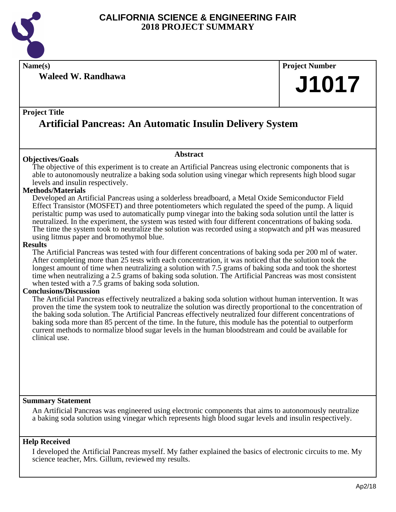

**Name(s) Project Number**

**Waleed W. Randhawa**

#### **Project Title**

## **Artificial Pancreas: An Automatic Insulin Delivery System**

#### **Objectives/Goals**

The objective of this experiment is to create an Artificial Pancreas using electronic components that is able to autonomously neutralize a baking soda solution using vinegar which represents high blood sugar levels and insulin respectively.

**Abstract**

#### **Methods/Materials**

Developed an Artificial Pancreas using a solderless breadboard, a Metal Oxide Semiconductor Field Effect Transistor (MOSFET) and three potentiometers which regulated the speed of the pump. A liquid peristaltic pump was used to automatically pump vinegar into the baking soda solution until the latter is neutralized. In the experiment, the system was tested with four different concentrations of baking soda. The time the system took to neutralize the solution was recorded using a stopwatch and pH was measured using litmus paper and bromothymol blue.

#### **Results**

The Artificial Pancreas was tested with four different concentrations of baking soda per 200 ml of water. After completing more than 25 tests with each concentration, it was noticed that the solution took the longest amount of time when neutralizing a solution with 7.5 grams of baking soda and took the shortest time when neutralizing a 2.5 grams of baking soda solution. The Artificial Pancreas was most consistent when tested with a 7.5 grams of baking soda solution.

#### **Conclusions/Discussion**

The Artificial Pancreas effectively neutralized a baking soda solution without human intervention. It was proven the time the system took to neutralize the solution was directly proportional to the concentration of the baking soda solution. The Artificial Pancreas effectively neutralized four different concentrations of baking soda more than 85 percent of the time. In the future, this module has the potential to outperform current methods to normalize blood sugar levels in the human bloodstream and could be available for clinical use.

#### **Summary Statement**

An Artificial Pancreas was engineered using electronic components that aims to autonomously neutralize a baking soda solution using vinegar which represents high blood sugar levels and insulin respectively.

#### **Help Received**

I developed the Artificial Pancreas myself. My father explained the basics of electronic circuits to me. My science teacher, Mrs. Gillum, reviewed my results.

**J1017**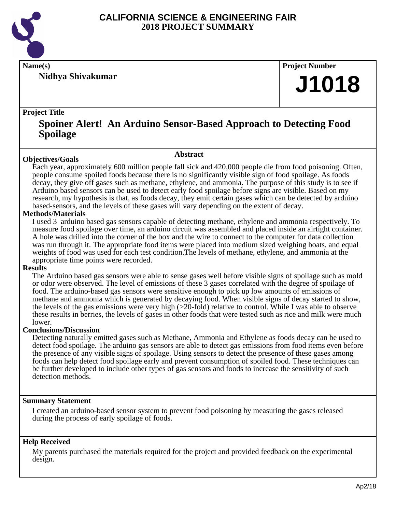

**Nidhya Shivakumar**

**Name(s) Project Number**

## **J1018**

#### **Project Title**

### **Spoiner Alert! An Arduino Sensor-Based Approach to Detecting Food Spoilage**

#### **Abstract**

**Objectives/Goals** Each year, approximately 600 million people fall sick and 420,000 people die from food poisoning. Often, people consume spoiled foods because there is no significantly visible sign of food spoilage. As foods decay, they give off gases such as methane, ethylene, and ammonia. The purpose of this study is to see if Arduino based sensors can be used to detect early food spoilage before signs are visible. Based on my research, my hypothesis is that, as foods decay, they emit certain gases which can be detected by arduino based-sensors, and the levels of these gases will vary depending on the extent of decay.

#### **Methods/Materials**

I used 3 arduino based gas sensors capable of detecting methane, ethylene and ammonia respectively. To measure food spoilage over time, an arduino circuit was assembled and placed inside an airtight container. A hole was drilled into the corner of the box and the wire to connect to the computer for data collection was run through it. The appropriate food items were placed into medium sized weighing boats, and equal weights of food was used for each test condition.The levels of methane, ethylene, and ammonia at the appropriate time points were recorded.

#### **Results**

The Arduino based gas sensors were able to sense gases well before visible signs of spoilage such as mold or odor were observed. The level of emissions of these 3 gases correlated with the degree of spoilage of food. The arduino-based gas sensors were sensitive enough to pick up low amounts of emissions of methane and ammonia which is generated by decaying food. When visible signs of decay started to show, the levels of the gas emissions were very high (>20-fold) relative to control. While I was able to observe these results in berries, the levels of gases in other foods that were tested such as rice and milk were much lower.

#### **Conclusions/Discussion**

Detecting naturally emitted gases such as Methane, Ammonia and Ethylene as foods decay can be used to detect food spoilage. The arduino gas sensors are able to detect gas emissions from food items even before the presence of any visible signs of spoilage. Using sensors to detect the presence of these gases among foods can help detect food spoilage early and prevent consumption of spoiled food. These techniques can be further developed to include other types of gas sensors and foods to increase the sensitivity of such detection methods.

#### **Summary Statement**

I created an arduino-based sensor system to prevent food poisoning by measuring the gases released during the process of early spoilage of foods.

#### **Help Received**

My parents purchased the materials required for the project and provided feedback on the experimental design.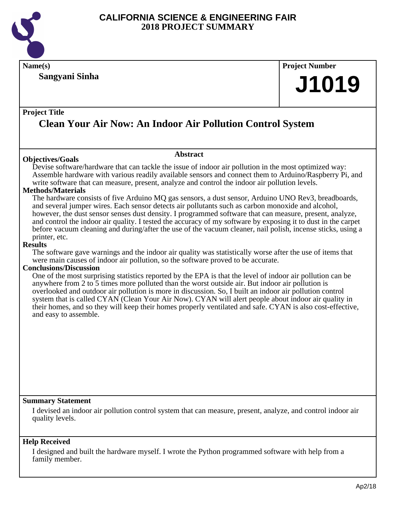

**Name(s) Project Number**

**Sangyani Sinha**

# **J1019**

#### **Project Title**

## **Clean Your Air Now: An Indoor Air Pollution Control System**

#### **Objectives/Goals**

Devise software/hardware that can tackle the issue of indoor air pollution in the most optimized way: Assemble hardware with various readily available sensors and connect them to Arduino/Raspberry Pi, and write software that can measure, present, analyze and control the indoor air pollution levels.

**Abstract**

#### **Methods/Materials**

The hardware consists of five Arduino MQ gas sensors, a dust sensor, Arduino UNO Rev3, breadboards, and several jumper wires. Each sensor detects air pollutants such as carbon monoxide and alcohol, however, the dust sensor senses dust density. I programmed software that can measure, present, analyze, and control the indoor air quality. I tested the accuracy of my software by exposing it to dust in the carpet before vacuum cleaning and during/after the use of the vacuum cleaner, nail polish, incense sticks, using a printer, etc.

#### **Results**

The software gave warnings and the indoor air quality was statistically worse after the use of items that were main causes of indoor air pollution, so the software proved to be accurate.

#### **Conclusions/Discussion**

One of the most surprising statistics reported by the EPA is that the level of indoor air pollution can be anywhere from 2 to 5 times more polluted than the worst outside air. But indoor air pollution is overlooked and outdoor air pollution is more in discussion. So, I built an indoor air pollution control system that is called CYAN (Clean Your Air Now). CYAN will alert people about indoor air quality in their homes, and so they will keep their homes properly ventilated and safe. CYAN is also cost-effective, and easy to assemble.

#### **Summary Statement**

I devised an indoor air pollution control system that can measure, present, analyze, and control indoor air quality levels.

#### **Help Received**

I designed and built the hardware myself. I wrote the Python programmed software with help from a family member.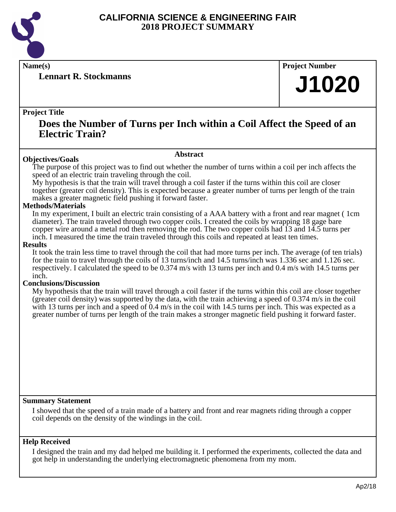

**Lennart R. Stockmanns**

**Name(s) Project Number**

## **J1020**

#### **Project Title**

### **Does the Number of Turns per Inch within a Coil Affect the Speed of an Electric Train?**

#### **Abstract**

**Objectives/Goals** The purpose of this project was to find out whether the number of turns within a coil per inch affects the speed of an electric train traveling through the coil.

My hypothesis is that the train will travel through a coil faster if the turns within this coil are closer together (greater coil density). This is expected because a greater number of turns per length of the train makes a greater magnetic field pushing it forward faster.

#### **Methods/Materials**

In my experiment, I built an electric train consisting of a AAA battery with a front and rear magnet (1cm diameter). The train traveled through two copper coils. I created the coils by wrapping 18 gage bare copper wire around a metal rod then removing the rod. The two copper coils had 13 and 14.5 turns per inch. I measured the time the train traveled through this coils and repeated at least ten times.

#### **Results**

It took the train less time to travel through the coil that had more turns per inch. The average (of ten trials) for the train to travel through the coils of 13 turns/inch and 14.5 turns/inch was 1.336 sec and 1.126 sec. respectively. I calculated the speed to be 0.374 m/s with 13 turns per inch and 0.4 m/s with 14.5 turns per inch.

#### **Conclusions/Discussion**

My hypothesis that the train will travel through a coil faster if the turns within this coil are closer together (greater coil density) was supported by the data, with the train achieving a speed of 0.374 m/s in the coil with 13 turns per inch and a speed of 0.4 m/s in the coil with 14.5 turns per inch. This was expected as a greater number of turns per length of the train makes a stronger magnetic field pushing it forward faster.

#### **Summary Statement**

I showed that the speed of a train made of a battery and front and rear magnets riding through a copper coil depends on the density of the windings in the coil.

#### **Help Received**

I designed the train and my dad helped me building it. I performed the experiments, collected the data and got help in understanding the underlying electromagnetic phenomena from my mom.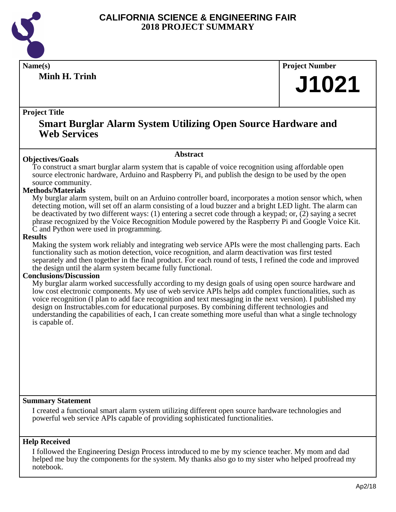

**Minh H. Trinh**

**Name(s) Project Number**

## **J1021**

#### **Project Title**

### **Smart Burglar Alarm System Utilizing Open Source Hardware and Web Services**

#### **Abstract**

**Objectives/Goals** To construct a smart burglar alarm system that is capable of voice recognition using affordable open source electronic hardware, Arduino and Raspberry Pi, and publish the design to be used by the open source community.

#### **Methods/Materials**

My burglar alarm system, built on an Arduino controller board, incorporates a motion sensor which, when detecting motion, will set off an alarm consisting of a loud buzzer and a bright LED light. The alarm can be deactivated by two different ways: (1) entering a secret code through a keypad; or, (2) saying a secret phrase recognized by the Voice Recognition Module powered by the Raspberry Pi and Google Voice Kit. C and Python were used in programming.

#### **Results**

Making the system work reliably and integrating web service APIs were the most challenging parts. Each functionality such as motion detection, voice recognition, and alarm deactivation was first tested separately and then together in the final product. For each round of tests, I refined the code and improved the design until the alarm system became fully functional.

#### **Conclusions/Discussion**

My burglar alarm worked successfully according to my design goals of using open source hardware and low cost electronic components. My use of web service APIs helps add complex functionalities, such as voice recognition (I plan to add face recognition and text messaging in the next version). I published my design on Instructables.com for educational purposes. By combining different technologies and understanding the capabilities of each, I can create something more useful than what a single technology is capable of.

#### **Summary Statement**

I created a functional smart alarm system utilizing different open source hardware technologies and powerful web service APIs capable of providing sophisticated functionalities.

#### **Help Received**

I followed the Engineering Design Process introduced to me by my science teacher. My mom and dad helped me buy the components for the system. My thanks also go to my sister who helped proofread my notebook.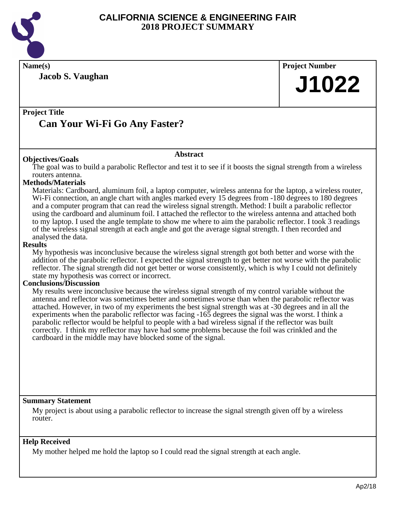

**Name(s) Project Number**

**Jacob S. Vaughan**

**J1022**

#### **Project Title Can Your Wi-Fi Go Any Faster?**

#### **Abstract**

**Objectives/Goals** The goal was to build a parabolic Reflector and test it to see if it boosts the signal strength from a wireless routers antenna.

#### **Methods/Materials**

Materials: Cardboard, aluminum foil, a laptop computer, wireless antenna for the laptop, a wireless router, Wi-Fi connection, an angle chart with angles marked every 15 degrees from -180 degrees to 180 degrees and a computer program that can read the wireless signal strength. Method: I built a parabolic reflector using the cardboard and aluminum foil. I attached the reflector to the wireless antenna and attached both to my laptop. I used the angle template to show me where to aim the parabolic reflector. I took 3 readings of the wireless signal strength at each angle and got the average signal strength. I then recorded and analysed the data.

#### **Results**

My hypothesis was inconclusive because the wireless signal strength got both better and worse with the addition of the parabolic reflector. I expected the signal strength to get better not worse with the parabolic reflector. The signal strength did not get better or worse consistently, which is why I could not definitely state my hypothesis was correct or incorrect.

#### **Conclusions/Discussion**

My results were inconclusive because the wireless signal strength of my control variable without the antenna and reflector was sometimes better and sometimes worse than when the parabolic reflector was attached. However, in two of my experiments the best signal strength was at -30 degrees and in all the experiments when the parabolic reflector was facing -165 degrees the signal was the worst. I think a parabolic reflector would be helpful to people with a bad wireless signal if the reflector was built correctly. I think my reflector may have had some problems because the foil was crinkled and the cardboard in the middle may have blocked some of the signal.

#### **Summary Statement**

My project is about using a parabolic reflector to increase the signal strength given off by a wireless router.

#### **Help Received**

My mother helped me hold the laptop so I could read the signal strength at each angle.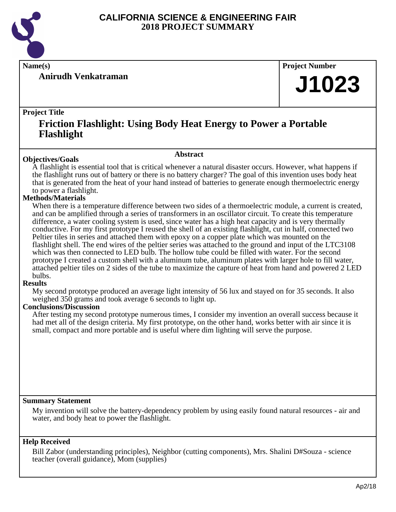

**Anirudh Venkatraman**

**Name(s) Project Number**

## **J1023**

#### **Project Title**

### **Friction Flashlight: Using Body Heat Energy to Power a Portable Flashlight**

#### **Abstract**

**Objectives/Goals** A flashlight is essential tool that is critical whenever a natural disaster occurs. However, what happens if the flashlight runs out of battery or there is no battery charger? The goal of this invention uses body heat that is generated from the heat of your hand instead of batteries to generate enough thermoelectric energy to power a flashlight.

#### **Methods/Materials**

When there is a temperature difference between two sides of a thermoelectric module, a current is created, and can be amplified through a series of transformers in an oscillator circuit. To create this temperature difference, a water cooling system is used, since water has a high heat capacity and is very thermally conductive. For my first prototype I reused the shell of an existing flashlight, cut in half, connected two Peltier tiles in series and attached them with epoxy on a copper plate which was mounted on the flashlight shell. The end wires of the peltier series was attached to the ground and input of the LTC3108 which was then connected to LED bulb. The hollow tube could be filled with water. For the second prototype I created a custom shell with a aluminum tube, aluminum plates with larger hole to fill water, attached peltier tiles on 2 sides of the tube to maximize the capture of heat from hand and powered 2 LED bulbs.

#### **Results**

My second prototype produced an average light intensity of 56 lux and stayed on for 35 seconds. It also weighed 350 grams and took average 6 seconds to light up.

#### **Conclusions/Discussion**

After testing my second prototype numerous times, I consider my invention an overall success because it had met all of the design criteria. My first prototype, on the other hand, works better with air since it is small, compact and more portable and is useful where dim lighting will serve the purpose.

#### **Summary Statement**

My invention will solve the battery-dependency problem by using easily found natural resources - air and water, and body heat to power the flashlight.

#### **Help Received**

Bill Zabor (understanding principles), Neighbor (cutting components), Mrs. Shalini D#Souza - science teacher (overall guidance), Mom (supplies)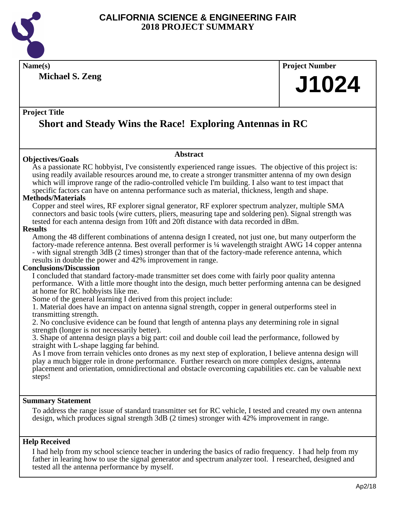

**Name(s) Project Number**

**Michael S. Zeng**

# **J1024**

#### **Project Title**

## **Short and Steady Wins the Race! Exploring Antennas in RC**

#### **Objectives/Goals**

**Abstract**

As a passionate RC hobbyist, I've consistently experienced range issues. The objective of this project is: using readily available resources around me, to create a stronger transmitter antenna of my own design which will improve range of the radio-controlled vehicle I'm building. I also want to test impact that specific factors can have on antenna performance such as material, thickness, length and shape.

#### **Methods/Materials**

Copper and steel wires, RF explorer signal generator, RF explorer spectrum analyzer, multiple SMA connectors and basic tools (wire cutters, pliers, measuring tape and soldering pen). Signal strength was tested for each antenna design from 10ft and 20ft distance with data recorded in dBm.

#### **Results**

Among the 48 different combinations of antenna design I created, not just one, but many outperform the factory-made reference antenna. Best overall performer is ¼ wavelength straight AWG 14 copper antenna - with signal strength 3dB (2 times) stronger than that of the factory-made reference antenna, which results in double the power and 42% improvement in range.

#### **Conclusions/Discussion**

I concluded that standard factory-made transmitter set does come with fairly poor quality antenna performance. With a little more thought into the design, much better performing antenna can be designed at home for RC hobbyists like me.

Some of the general learning I derived from this project include:

1. Material does have an impact on antenna signal strength, copper in general outperforms steel in transmitting strength.

2. No conclusive evidence can be found that length of antenna plays any determining role in signal strength (longer is not necessarily better).

3. Shape of antenna design plays a big part: coil and double coil lead the performance, followed by straight with L-shape lagging far behind.

As I move from terrain vehicles onto drones as my next step of exploration, I believe antenna design will play a much bigger role in drone performance. Further research on more complex designs, antenna placement and orientation, omnidirectional and obstacle overcoming capabilities etc. can be valuable next steps!

#### **Summary Statement**

To address the range issue of standard transmitter set for RC vehicle, I tested and created my own antenna design, which produces signal strength 3dB (2 times) stronger with 42% improvement in range.

#### **Help Received**

I had help from my school science teacher in undering the basics of radio frequency. I had help from my father in learing how to use the signal generator and spectrum analyzer tool. I researched, designed and tested all the antenna performance by myself.